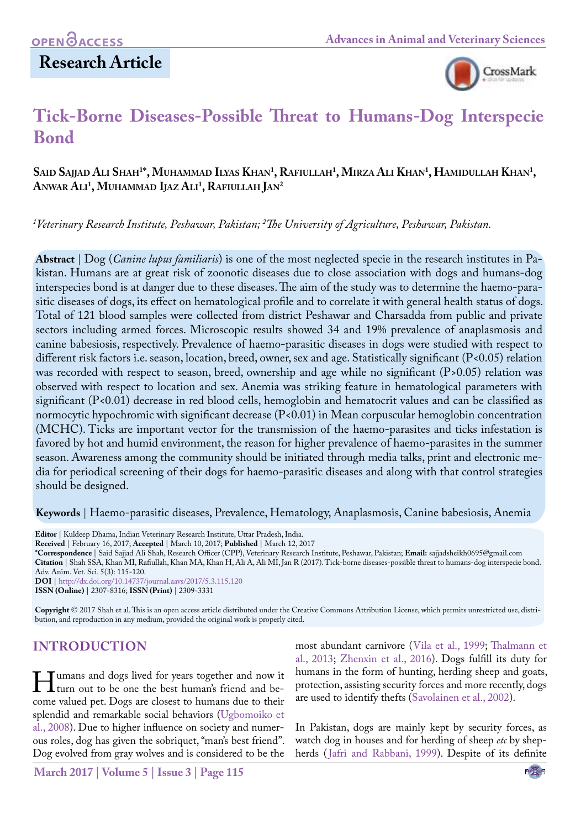## **Research Article**



# **Tick-Borne Diseases-Possible Threat to Humans-Dog Interspecie Bond**

## **Said Sajjad Ali Shah1 \*, Muhammad Ilyas Khan1 , Rafiullah1 , Mirza Ali Khan1 , Hamidullah Khan1 , Anwar Ali1 , Muhammad Ijaz Ali1 , Rafiullah Jan2**

*1 Veterinary Research Institute, Peshawar, Pakistan; 2 The University of Agriculture, Peshawar, Pakistan.*

**Abstract** | Dog (*Canine lupus familiaris*) is one of the most neglected specie in the research institutes in Pakistan. Humans are at great risk of zoonotic diseases due to close association with dogs and humans-dog interspecies bond is at danger due to these diseases. The aim of the study was to determine the haemo-parasitic diseases of dogs, its effect on hematological profile and to correlate it with general health status of dogs. Total of 121 blood samples were collected from district Peshawar and Charsadda from public and private sectors including armed forces. Microscopic results showed 34 and 19% prevalence of anaplasmosis and canine babesiosis, respectively. Prevalence of haemo-parasitic diseases in dogs were studied with respect to different risk factors i.e. season, location, breed, owner, sex and age. Statistically significant (P<0.05) relation was recorded with respect to season, breed, ownership and age while no significant (P>0.05) relation was observed with respect to location and sex. Anemia was striking feature in hematological parameters with significant (P<0.01) decrease in red blood cells, hemoglobin and hematocrit values and can be classified as normocytic hypochromic with significant decrease (P<0.01) in Mean corpuscular hemoglobin concentration (MCHC). Ticks are important vector for the transmission of the haemo-parasites and ticks infestation is favored by hot and humid environment, the reason for higher prevalence of haemo-parasites in the summer season. Awareness among the community should be initiated through media talks, print and electronic media for periodical screening of their dogs for haemo-parasitic diseases and along with that control strategies should be designed.

**Keywords** | Haemo-parasitic diseases, Prevalence, Hematology, Anaplasmosis, Canine babesiosis, Anemia

**Editor** | Kuldeep Dhama, Indian Veterinary Research Institute, Uttar Pradesh, India. **Received** | February 16, 2017; **Accepted** | March 10, 2017; **Published** | March 12, 2017 **\*Correspondence** | Said Sajjad Ali Shah, Research Officer (CPP), Veterinary Research Institute, Peshawar, Pakistan; **Email:** sajjadsheikh0695@gmail.com **Citation** | Shah SSA, Khan MI, Rafiullah, Khan MA, Khan H, Ali A, Ali MI, Jan R (2017). Tick-borne diseases-possible threat to humans-dog interspecie bond. Adv. Anim. Vet. Sci. 5(3): 115-120. **DOI** | <http://dx.doi.org/10.14737/journal.aavs/2017/5.3.115.120>

**ISSN (Online)** | 2307-8316; **ISSN (Print)** | 2309-3331

**Copyright** © 2017 Shah et al. This is an open access article distributed under the Creative Commons Attribution License, which permits unrestricted use, distribution, and reproduction in any medium, provided the original work is properly cited.

## **INTRODUCTION**

I umans and dogs lived for years together and now it<br>turn out to be one the best human's friend and be-<br>come valued net Dogs are closest to humans due to their come valued pet. Dogs are closest to humans due to their splendid and remarkable social behaviors [\(Ugbomoiko et](#page-5-0)  [al., 2008\)](#page-5-0). Due to higher influence on society and numerous roles, dog has given the sobriquet, "man's best friend". Dog evolved from gray wolves and is considered to be the

most abundant carnivore (Vila et al., 1999; Thalmann et al., 2013; [Zhenxin et al., 2016\)](#page-5-1). Dogs fulfill its duty for humans in the form of hunting, herding sheep and goats, protection, assisting security forces and more recently, dogs are used to identify thefts ([Savolainen et al., 2002](#page-4-0)).

In Pakistan, dogs are mainly kept by security forces, as watch dog in houses and for herding of sheep *etc* by shepherds ([Jafri and Rabbani, 1999\)](#page-4-1). Despite of its definite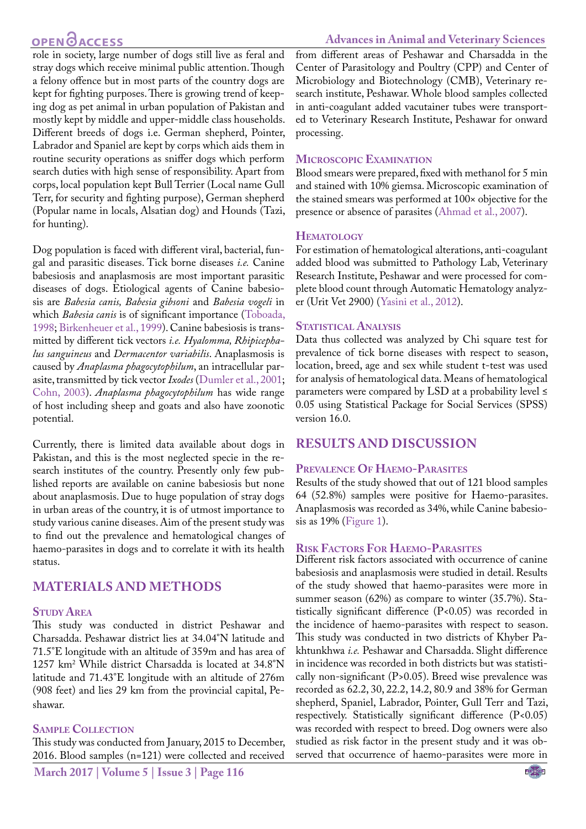## **OPEN GACCESS**

**Advances in Animal and Veterinary Sciences**

role in society, large number of dogs still live as feral and stray dogs which receive minimal public attention. Though a felony offence but in most parts of the country dogs are kept for fighting purposes. There is growing trend of keeping dog as pet animal in urban population of Pakistan and mostly kept by middle and upper-middle class households. Different breeds of dogs i.e. German shepherd, Pointer, Labrador and Spaniel are kept by corps which aids them in routine security operations as sniffer dogs which perform search duties with high sense of responsibility. Apart from corps, local population kept Bull Terrier (Local name Gull Terr, for security and fighting purpose), German shepherd (Popular name in locals, Alsatian dog) and Hounds (Tazi, for hunting).

Dog population is faced with different viral, bacterial, fungal and parasitic diseases. Tick borne diseases *i.e.* Canine babesiosis and anaplasmosis are most important parasitic diseases of dogs. Etiological agents of Canine babesiosis are *Babesia canis, Babesia gibsoni* and *Babesia vogeli* in which *Babesia canis* is of significant importance ([Toboada,](#page-5-2) [1998](#page-5-2); [Birkenheuer et al., 1999\)](#page-4-2). Canine babesiosis is transmitted by different tick vectors *i.e. Hyalomma, Rhipicephalus sanguineus* and *Dermacentor variabilis*. Anaplasmosis is caused by *Anaplasma phagocytophilum*, an intracellular parasite, transmitted by tick vector *Ixodes* [\(Dumler et al., 2001;](#page-4-3) [Cohn, 2003\)](#page-4-4). *Anaplasma phagocytophilum* has wide range of host including sheep and goats and also have zoonotic potential.

Currently, there is limited data available about dogs in Pakistan, and this is the most neglected specie in the research institutes of the country. Presently only few published reports are available on canine babesiosis but none about anaplasmosis. Due to huge population of stray dogs in urban areas of the country, it is of utmost importance to study various canine diseases. Aim of the present study was to find out the prevalence and hematological changes of haemo-parasites in dogs and to correlate it with its health status.

## **MATERIALS AND METHODS**

#### **Study Area**

This study was conducted in district Peshawar and Charsadda. Peshawar district lies at 34.04°N latitude and 71.5°E longitude with an altitude of 359m and has area of 1257 km2 While district Charsadda is located at 34.8°N latitude and 71.43°E longitude with an altitude of 276m (908 feet) and lies 29 km from the provincial capital, Peshawar.

#### **Sample Collection**

This study was conducted from January, 2015 to December, 2016. Blood samples (n=121) were collected and received

from different areas of Peshawar and Charsadda in the Center of Parasitology and Poultry (CPP) and Center of Microbiology and Biotechnology (CMB), Veterinary research institute, Peshawar. Whole blood samples collected in anti-coagulant added vacutainer tubes were transported to Veterinary Research Institute, Peshawar for onward processing.

#### **Microscopic Examination**

Blood smears were prepared, fixed with methanol for 5 min and stained with 10% giemsa. Microscopic examination of the stained smears was performed at 100× objective for the presence or absence of parasites ([Ahmad et al., 2007\)](#page-4-5).

#### **Hematology**

For estimation of hematological alterations, anti-coagulant added blood was submitted to Pathology Lab, Veterinary Research Institute, Peshawar and were processed for complete blood count through Automatic Hematology analyzer (Urit Vet 2900) ([Yasini et al., 2012](#page-5-3)).

#### **STATISTICAL ANALYSIS**

Data thus collected was analyzed by Chi square test for prevalence of tick borne diseases with respect to season, location, breed, age and sex while student t-test was used for analysis of hematological data. Means of hematological parameters were compared by LSD at a probability level  $\leq$ 0.05 using Statistical Package for Social Services (SPSS) version 16.0.

#### **RESULTS AND DISCUSSION**

#### **Prevalence Of Haemo-Parasites**

Results of the study showed that out of 121 blood samples 64 (52.8%) samples were positive for Haemo-parasites. Anaplasmosis was recorded as 34%, while Canine babesiosis as 19% [\(Figure 1](#page-2-0)).

#### **Risk Factors For Haemo-Parasites**

Different risk factors associated with occurrence of canine babesiosis and anaplasmosis were studied in detail. Results of the study showed that haemo-parasites were more in summer season (62%) as compare to winter (35.7%). Statistically significant difference (P<0.05) was recorded in the incidence of haemo-parasites with respect to season. This study was conducted in two districts of Khyber Pakhtunkhwa *i.e.* Peshawar and Charsadda. Slight difference in incidence was recorded in both districts but was statistically non-significant (P>0.05). Breed wise prevalence was recorded as 62.2, 30, 22.2, 14.2, 80.9 and 38% for German shepherd, Spaniel, Labrador, Pointer, Gull Terr and Tazi, respectively. Statistically significant difference (P<0.05) was recorded with respect to breed. Dog owners were also studied as risk factor in the present study and it was observed that occurrence of haemo-parasites were more in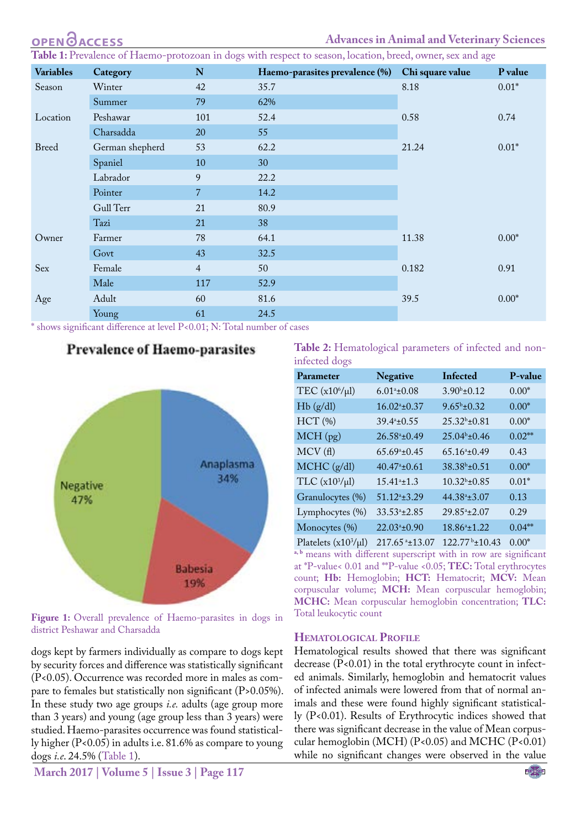|  |  | <b>OPEN ØACCESS</b> |  |  |  |  |
|--|--|---------------------|--|--|--|--|

<span id="page-2-1"></span>Table 1: Prevalence of Haemo-protozoan in dogs with respect to season, location, breed, owner, sex and age

| <b>Variables</b> | Category        | $\mathbf N$    | Haemo-parasites prevalence (%) | Chi square value | P value |
|------------------|-----------------|----------------|--------------------------------|------------------|---------|
| Season           | Winter          | 42             | 35.7<br>8.18                   |                  | $0.01*$ |
|                  | Summer          | 79             | 62%                            |                  |         |
| Location         | Peshawar        | 101            | 52.4                           | 0.58             | 0.74    |
|                  | Charsadda       | 20             | 55                             |                  |         |
| <b>Breed</b>     | German shepherd | 53             | 62.2                           | 21.24            | $0.01*$ |
|                  | Spaniel         | 10             | 30                             |                  |         |
|                  | Labrador        | 9              | 22.2                           |                  |         |
|                  | Pointer         | $\overline{7}$ | 14.2                           |                  |         |
|                  | Gull Terr       | 21             | 80.9                           |                  |         |
|                  | Tazi            | 21             | 38                             |                  |         |
| Owner            | Farmer          | 78             | 64.1                           | 11.38            | $0.00*$ |
|                  | Govt            | 43             | 32.5                           |                  |         |
| Sex              | Female          | $\overline{4}$ | 50                             | 0.182            | 0.91    |
|                  | Male            | 117            | 52.9                           |                  |         |
| Age              | Adult           | 60             | 81.6                           | 39.5             | $0.00*$ |
|                  | Young           | 61             | 24.5                           |                  |         |

\* shows significant difference at level P<0.01; N: Total number of cases

### **Prevalence of Haemo-parasites**



<span id="page-2-0"></span>Figure 1: Overall prevalence of Haemo-parasites in dogs in district Peshawar and Charsadda

dogs kept by farmers individually as compare to dogs kept by security forces and difference was statistically significant (P<0.05). Occurrence was recorded more in males as compare to females but statistically non significant (P>0.05%). In these study two age groups *i.e.* adults (age group more than 3 years) and young (age group less than 3 years) were studied. Haemo-parasites occurrence was found statistically higher (P<0.05) in adults i.e. 81.6% as compare to young dogs *i.e*. 24.5% ([Table 1](#page-2-1)).

<span id="page-2-2"></span>**Table 2:** Hematological parameters of infected and noninfected dogs

| Parameter                  | <b>Negative</b>             | Infected                 | P-value           |
|----------------------------|-----------------------------|--------------------------|-------------------|
| TEC $(x10^6/\mu l)$        | $6.01^{\circ}$ ±0.08        | $3.90^{\rm b}$ ±0.12     | $0.00*$           |
| Hb(g/dl)                   | $16.02^{\mathrm{a}}\pm0.37$ | $9.65^{\rm b}$ ±0.32     | $0.00*$           |
| HCT(%)                     | 39.4 <sup>a</sup> ±0.55     | 25.32 <sup>b</sup> ±0.81 | $0.00*$           |
| $MCH$ (pg)                 | 26.58 <sup>a</sup> ±0.49    | 25.04 <sup>b</sup> ±0.46 | $0.02**$          |
| MCV(f)                     | $65.69^{\circ}$ ±0.45       | $65.16^a \pm 0.49$       | 0.43              |
| MCHC (g/dl)                | $40.47^{\circ}$ ±0.61       | 38.38 <sup>b</sup> ±0.51 | $0.00*$           |
| TLC $(x10^3/\mu l)$        | $15.41^{\circ}$ ±1.3        | $10.32^b \pm 0.85$       | $0.01*$           |
| Granulocytes (%)           | $51.12^a \pm 3.29$          | 44.38 <sup>a</sup> ±3.07 | 0.13              |
| Lymphocytes (%)            | $33.53a + 2.85$             | 29.85 <sup>a</sup> ±2.07 | 0.29              |
| Monocytes (%)              | 22.03 <sup>a</sup> ±0.90    | 18.86 <sup>a</sup> ±1.22 | $0.04***$         |
| $T1 \cdot 1 \cdot (402/1)$ | 24775.4207                  |                          | $\alpha$ $\alpha$ |

Platelets (x10<sup>3</sup>/µl) 217.65 <sup>a</sup>±13.07 122.77 <sup>b</sup>±10.43 0.00<sup>\*</sup> **a, b** means with different superscript with in row are significant at \*P-value< 0.01 and \*\*P-value <0.05; **TEC:** Total erythrocytes count; **Hb:** Hemoglobin; **HCT:** Hematocrit; **MCV:** Mean corpuscular volume; **MCH:** Mean corpuscular hemoglobin; **MCHC:** Mean corpuscular hemoglobin concentration; **TLC:** Total leukocytic count

#### **Hematological Profile**

Hematological results showed that there was significant decrease (P<0.01) in the total erythrocyte count in infected animals. Similarly, hemoglobin and hematocrit values of infected animals were lowered from that of normal animals and these were found highly significant statistically (P<0.01). Results of Erythrocytic indices showed that there was significant decrease in the value of Mean corpuscular hemoglobin (MCH) (P<0.05) and MCHC (P<0.01) while no significant changes were observed in the value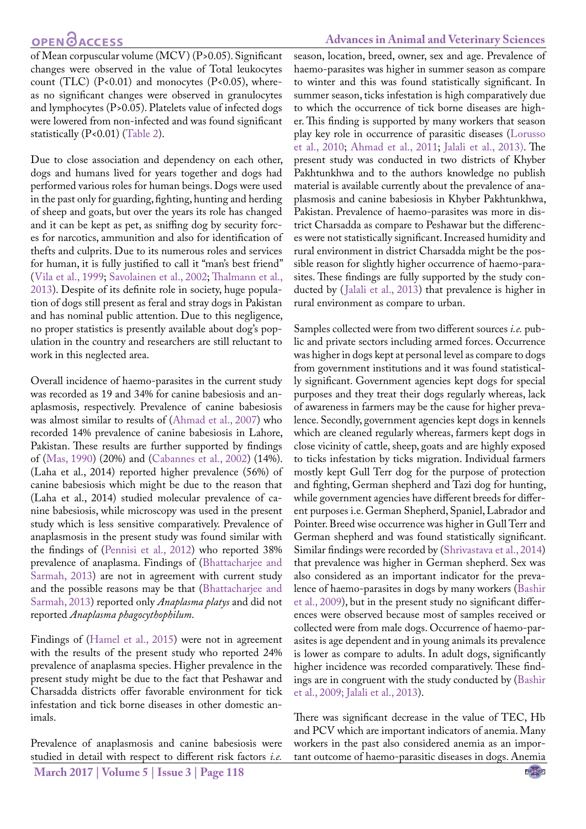of Mean corpuscular volume (MCV) (P>0.05). Significant changes were observed in the value of Total leukocytes count (TLC)  $(P<0.01)$  and monocytes  $(P<0.05)$ , whereas no significant changes were observed in granulocytes and lymphocytes (P>0.05). Platelets value of infected dogs were lowered from non-infected and was found significant statistically (P<0.01) ([Table 2\)](#page-2-2).

Due to close association and dependency on each other, dogs and humans lived for years together and dogs had performed various roles for human beings. Dogs were used in the past only for guarding, fighting, hunting and herding of sheep and goats, but over the years its role has changed and it can be kept as pet, as sniffing dog by security forces for narcotics, ammunition and also for identification of thefts and culprits. Due to its numerous roles and services for human, it is fully justified to call it "man's best friend" (Vila et al., 1999; [Savolainen et al., 2002](#page-4-0); Thalmann et al., 2013). Despite of its definite role in society, huge population of dogs still present as feral and stray dogs in Pakistan and has nominal public attention. Due to this negligence, no proper statistics is presently available about dog's population in the country and researchers are still reluctant to work in this neglected area.

Overall incidence of haemo-parasites in the current study was recorded as 19 and 34% for canine babesiosis and anaplasmosis, respectively. Prevalence of canine babesiosis was almost similar to results of [\(Ahmad et al., 2007\)](#page-4-5) who recorded 14% prevalence of canine babesiosis in Lahore, Pakistan. These results are further supported by findings of (Mas, 1990) (20%) and (Cabannes et al., 2002) (14%). (Laha et al., 2014) reported higher prevalence (56%) of canine babesiosis which might be due to the reason that (Laha et al., 2014) studied molecular prevalence of canine babesiosis, while microscopy was used in the present study which is less sensitive comparatively. Prevalence of anaplasmosis in the present study was found similar with the findings of (Pennisi et al., 2012) who reported 38% prevalence of anaplasma. Findings of ([Bhattacharjee and](#page-4-2)  [Sarmah, 2013\)](#page-4-2) are not in agreement with current study and the possible reasons may be that ([Bhattacharjee and](#page-4-2)  [Sarmah, 2013\)](#page-4-2) reported only *Anaplasma platys* and did not reported *Anaplasma phagocythophilum*.

Findings of [\(Hamel et al., 2015\)](#page-4-6) were not in agreement with the results of the present study who reported 24% prevalence of anaplasma species. Higher prevalence in the present study might be due to the fact that Peshawar and Charsadda districts offer favorable environment for tick infestation and tick borne diseases in other domestic animals.

**March 2017 | Volume 5 | Issue 3 | Page 118** Prevalence of anaplasmosis and canine babesiosis were studied in detail with respect to different risk factors *i.e.*

season, location, breed, owner, sex and age. Prevalence of haemo-parasites was higher in summer season as compare to winter and this was found statistically significant. In summer season, ticks infestation is high comparatively due to which the occurrence of tick borne diseases are higher. This finding is supported by many workers that season play key role in occurrence of parasitic diseases (Lorusso et al., 2010; [Ahmad et al., 2011;](#page-4-7) [Jalali et al., 2013\).](#page-4-8) The present study was conducted in two districts of Khyber Pakhtunkhwa and to the authors knowledge no publish material is available currently about the prevalence of anaplasmosis and canine babesiosis in Khyber Pakhtunkhwa, Pakistan. Prevalence of haemo-parasites was more in district Charsadda as compare to Peshawar but the differences were not statistically significant. Increased humidity and rural environment in district Charsadda might be the possible reason for slightly higher occurrence of haemo-parasites. These findings are fully supported by the study conducted by ([Jalali et al., 2013](#page-4-8)) that prevalence is higher in rural environment as compare to urban.

Samples collected were from two different sources *i.e.* public and private sectors including armed forces. Occurrence was higher in dogs kept at personal level as compare to dogs from government institutions and it was found statistically significant. Government agencies kept dogs for special purposes and they treat their dogs regularly whereas, lack of awareness in farmers may be the cause for higher prevalence. Secondly, government agencies kept dogs in kennels which are cleaned regularly whereas, farmers kept dogs in close vicinity of cattle, sheep, goats and are highly exposed to ticks infestation by ticks migration. Individual farmers mostly kept Gull Terr dog for the purpose of protection and fighting, German shepherd and Tazi dog for hunting, while government agencies have different breeds for different purposes i.e. German Shepherd, Spaniel, Labrador and Pointer. Breed wise occurrence was higher in Gull Terr and German shepherd and was found statistically significant. Similar findings were recorded by ([Shrivastava et al., 2014\)](#page-4-9) that prevalence was higher in German shepherd. Sex was also considered as an important indicator for the prevalence of haemo-parasites in dogs by many workers ([Bashir](#page-4-7) [et al., 2009](#page-4-7)), but in the present study no significant differences were observed because most of samples received or collected were from male dogs. Occurrence of haemo-parasites is age dependent and in young animals its prevalence is lower as compare to adults. In adult dogs, significantly higher incidence was recorded comparatively. These findings are in congruent with the study conducted by ([Bashir](#page-4-7) [et al., 2009;](#page-4-7) [Jalali et al., 2013\)](#page-4-8).

There was significant decrease in the value of TEC, Hb and PCV which are important indicators of anemia. Many workers in the past also considered anemia as an important outcome of haemo-parasitic diseases in dogs. Anemia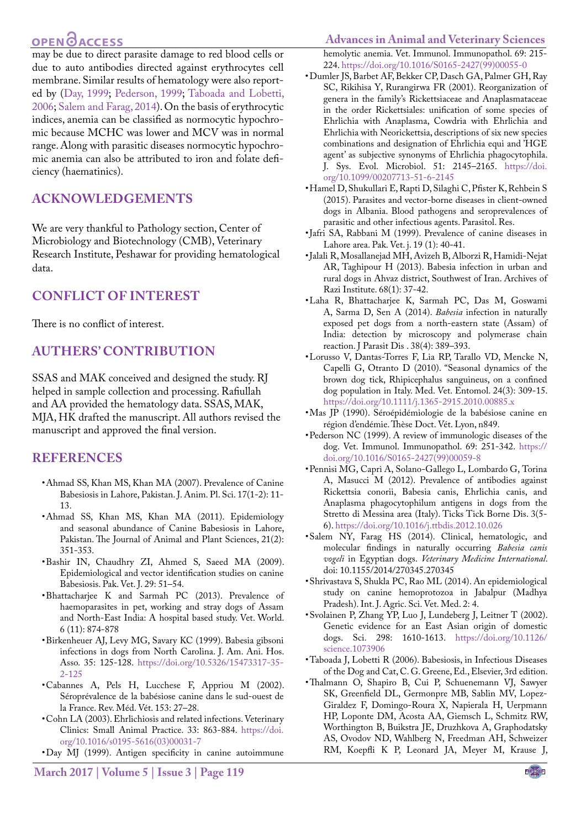## **OPEN**OACCESS

may be due to direct parasite damage to red blood cells or due to auto antibodies directed against erythrocytes cell membrane. Similar results of hematology were also reported by ([Day, 1999](#page-4-3); [Pederson, 1999](#page-4-10); [Taboada and Lobetti,](#page-4-1) [2006;](#page-4-1) Salem and Farag, 2014). On the basis of erythrocytic indices, anemia can be classified as normocytic hypochromic because MCHC was lower and MCV was in normal range. Along with parasitic diseases normocytic hypochromic anemia can also be attributed to iron and folate deficiency (haematinics).

## **Acknowledgements**

We are very thankful to Pathology section, Center of Microbiology and Biotechnology (CMB), Veterinary Research Institute, Peshawar for providing hematological data.

## **Conflict of Interest**

There is no conflict of interest.

## **AUTHERS' CONTRIBUTION**

SSAS and MAK conceived and designed the study. RJ helped in sample collection and processing. Rafiullah and AA provided the hematology data. SSAS, MAK, MJA, HK drafted the manuscript. All authors revised the manuscript and approved the final version.

#### **REFERENCES**

- <span id="page-4-5"></span>• Ahmad SS, Khan MS, Khan MA (2007). Prevalence of Canine Babesiosis in Lahore, Pakistan. J. Anim. Pl. Sci. 17(1-2): 11- 13.
- <span id="page-4-7"></span>• Ahmad SS, Khan MS, Khan MA (2011). Epidemiology and seasonal abundance of Canine Babesiosis in Lahore, Pakistan. The Journal of Animal and Plant Sciences, 21(2): 351-353.
- • Bashir IN, Chaudhry ZI, Ahmed S, Saeed MA (2009). Epidemiological and vector identification studies on canine Babesiosis. Pak. Vet. J. 29: 51–54.
- <span id="page-4-2"></span>• Bhattacharjee K and Sarmah PC (2013). [Prevalence of](https://scholar.google.com/citations?view_op=view_citation&hl=ru&user=518in7gAAAAJ&citation_for_view=518in7gAAAAJ:YsMSGLbcyi4C) [haemoparasites in pet, working and stray dogs of Assam](https://scholar.google.com/citations?view_op=view_citation&hl=ru&user=518in7gAAAAJ&citation_for_view=518in7gAAAAJ:YsMSGLbcyi4C) [and North-East India: A hospital based study](https://scholar.google.com/citations?view_op=view_citation&hl=ru&user=518in7gAAAAJ&citation_for_view=518in7gAAAAJ:YsMSGLbcyi4C). Vet. World. 6 (11): 874-878
- • Birkenheuer AJ, Levy MG, Savary KC (1999). Babesia gibsoni infections in dogs from North Carolina. J. Am. Ani. Hos. Asso. 35: 125-128. [https://doi.org/10.5326/15473317-35-](https://doi.org/10.5326/15473317-35-2-125) [2-125](https://doi.org/10.5326/15473317-35-2-125)
- • Cabannes A, Pels H, Lucchese F, Appriou M (2002). Séroprévalence de la babésiose canine dans le sud-ouest de la France. Rev. Méd. Vét. 153: 27–28.
- <span id="page-4-4"></span>• Cohn LA (2003). Ehrlichiosis and related infections. Veterinary Clinics: Small Animal Practice. 33: 863-884. [https://doi.](https://doi.org/10.1016/s0195-5616(03)00031-7) [org/10.1016/s0195-5616\(03\)00031-7](https://doi.org/10.1016/s0195-5616(03)00031-7)

<span id="page-4-3"></span>• Day MJ (1999). Antigen specificity in canine autoimmune

#### **Advances in Animal and Veterinary Sciences**

hemolytic anemia. Vet. Immunol. Immunopathol. 69: 215- 224. [https://doi.org/10.1016/S0165-2427\(99\)00055-0](https://doi.org/10.1016/S0165-2427(99)00055-0)

- • Dumler JS, Barbet AF, Bekker CP, Dasch GA, Palmer GH, Ray SC, Rikihisa Y, Rurangirwa FR (2001). Reorganization of genera in the family's Rickettsiaceae and Anaplasmataceae in the order Rickettsiales: unification of some species of Ehrlichia with Anaplasma, Cowdria with Ehrlichia and Ehrlichia with Neorickettsia, descriptions of six new species combinations and designation of Ehrlichia equi and 'HGE agent' as subjective synonyms of Ehrlichia phagocytophila. J. Sys. Evol. Microbiol. 51: 2145–2165. [https://doi.](https://doi.org/10.1099/00207713-51-6-2145) [org/10.1099/00207713-51-6-2145](https://doi.org/10.1099/00207713-51-6-2145)
- <span id="page-4-6"></span>• Hamel D, Shukullari E, Rapti D, Silaghi C, Pfister K, Rehbein S (2015). Parasites and vector-borne diseases in client-owned dogs in Albania. Blood pathogens and seroprevalences of parasitic and other infectious agents. Parasitol. Res.
- <span id="page-4-1"></span>• Jafri SA, Rabbani M (1999). Prevalence of canine diseases in Lahore area. Pak. Vet. j. 19 (1): 40-41.
- <span id="page-4-8"></span>• Jalali R, Mosallanejad MH, Avizeh B, Alborzi R, Hamidi-Nejat AR, Taghipour H (2013). Babesia infection in urban and rural dogs in Ahvaz district, Southwest of Iran. Archives of Razi Institute. 68(1): 37-42.
- • Laha R, Bhattacharjee K, Sarmah PC, Das M, Goswami A, Sarma D, Sen A (2014). *Babesia* infection in naturally exposed pet dogs from a north-eastern state (Assam) of India: detection by microscopy and polymerase chain reaction. J Parasit Dis . 38(4): 389–393.
- • Lorusso V, Dantas-Torres F, Lia RP, Tarallo VD, Mencke N, Capelli G, Otranto D (2010). "Seasonal dynamics of the brown dog tick, Rhipicephalus sanguineus, on a confined dog population in Italy. Med. Vet. Entomol. 24(3): 309-15. <https://doi.org/10.1111/j.1365-2915.2010.00885.x>
- <span id="page-4-10"></span>• Mas JP (1990). Séroépidémiologie de la babésiose canine en région d'endémie. Thèse Doct. Vét. Lyon, n849.
- • Pederson NC (1999). A review of immunologic diseases of the dog. Vet. Immunol. Immunopathol. 69: 251-342. [https://](https://doi.org/10.1016/S0165-2427(99)00059-8) [doi.org/10.1016/S0165-2427\(99\)00059-8](https://doi.org/10.1016/S0165-2427(99)00059-8)
- • Pennisi MG, Caprì A, Solano-Gallego L, Lombardo G, Torina A, Masucci M (2012). Prevalence of antibodies against Rickettsia conorii, Babesia canis, Ehrlichia canis, and Anaplasma phagocytophilum antigens in dogs from the Stretto di Messina area (Italy). Ticks Tick Borne Dis. 3(5- 6). <https://doi.org/10.1016/j.ttbdis.2012.10.026>
- • Salem NY, Farag HS (2014). Clinical, hematologic, and molecular findings in naturally occurring *Babesia canis vogeli* in Egyptian dogs. *Veterinary Medicine International*. doi: 10.1155/2014/270345.270345
- <span id="page-4-9"></span>• Shrivastava S, Shukla PC, Rao ML (2014). An epidemiological study on canine hemoprotozoa in Jabalpur (Madhya Pradesh). Int. J. Agric. Sci. Vet. Med. 2: 4.
- <span id="page-4-0"></span>• Svolainen P, Zhang YP, Luo J, Lundeberg J, Leitner T (2002). Genetic evidence for an East Asian origin of domestic dogs. Sci. 298: 1610-1613. [https://doi.org/10.1126/](https://doi.org/10.1126/science.1073906) [science.1073906](https://doi.org/10.1126/science.1073906)
- Taboada J, Lobetti R (2006). Babesiosis, in Infectious Diseases of the Dog and Cat, C. G. Greene, Ed., Elsevier, 3rd edition.
- Thalmann O, Shapiro B, Cui P, Schuenemann VJ, Sawyer SK, Greenfield DL, Germonpre MB, Sablin MV, Lopez-Giraldez F, Domingo-Roura X, Napierala H, Uerpmann HP, Loponte DM, Acosta AA, Giemsch L, Schmitz RW, Worthington B, Buikstra JE, Druzhkova A, Graphodatsky AS, Ovodov ND, Wahlberg N, Freedman AH, Schweizer RM, Koepfli K P, Leonard JA, Meyer M, Krause J,